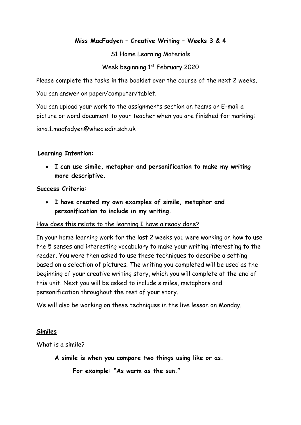## **Miss MacFadyen – Creative Writing – Weeks 3 & 4**

S1 Home Learning Materials

Week beginning 1st February 2020

Please complete the tasks in the booklet over the course of the next 2 weeks.

You can answer on paper/computer/tablet.

You can upload your work to the assignments section on teams or E-mail a picture or word document to your teacher when you are finished for marking:

iona.1.macfadyen@whec.edin.sch.uk

## **Learning Intention:**

• **I can use simile, metaphor and personification to make my writing more descriptive.**

## **Success Criteria:**

• **I have created my own examples of simile, metaphor and personification to include in my writing.**

## How does this relate to the learning I have already done?

In your home learning work for the last 2 weeks you were working on how to use the 5 senses and interesting vocabulary to make your writing interesting to the reader. You were then asked to use these techniques to describe a setting based on a selection of pictures. The writing you completed will be used as the beginning of your creative writing story, which you will complete at the end of this unit. Next you will be asked to include similes, metaphors and personification throughout the rest of your story.

We will also be working on these techniques in the live lesson on Monday.

## **Similes**

What is a simile?

**A simile is when you compare two things using like or as.**

**For example: "As warm as the sun."**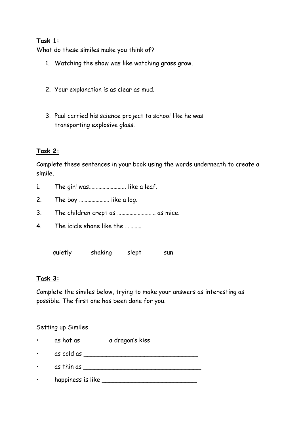### **Task 1:**

What do these similes make you think of?

- 1. Watching the show was like watching grass grow.
- 2. Your explanation is as clear as mud.
- 3. Paul carried his science project to school like he was transporting explosive glass.

#### **Task 2:**

Complete these sentences in your book using the words underneath to create a simile.

- 1. The girl was............................... like a leaf.
- 2. The boy …………………. like a log.
- 3. The children crept as ………………………. as mice.
- 4. The icicle shone like the …………

quietly shaking slept sun

#### **Task 3:**

Complete the similes below, trying to make your answers as interesting as possible. The first one has been done for you.

#### Setting up Similes

- as hot as a dragon's kiss
- as cold as \_\_\_\_\_\_\_\_\_\_\_\_\_\_\_\_\_\_\_\_\_\_\_\_\_\_\_\_\_\_
- as thin as \_\_\_\_\_\_\_\_\_\_\_\_\_\_\_\_\_\_\_\_\_\_\_\_\_\_\_\_\_\_\_
- happiness is like \_\_\_\_\_\_\_\_\_\_\_\_\_\_\_\_\_\_\_\_\_\_\_\_\_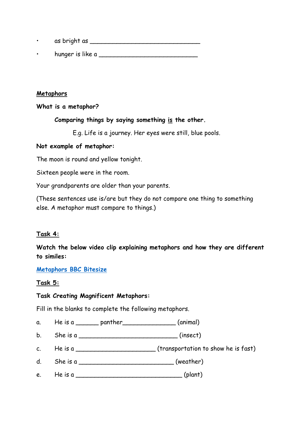- as bright as \_\_\_\_\_\_\_\_\_\_\_\_\_\_\_\_\_\_\_\_\_\_\_\_\_\_\_\_\_
- hunger is like a  $\blacksquare$

#### **Metaphors**

**What is a metaphor?**

### **Comparing things by saying something is the other.**

E.g. Life is a journey. Her eyes were still, blue pools.

### **Not example of metaphor:**

The moon is round and yellow tonight.

Sixteen people were in the room.

Your grandparents are older than your parents.

(These sentences use is/are but they do not compare one thing to something else. A metaphor must compare to things.)

## **Task 4:**

**Watch the below video clip explaining metaphors and how they are different to similes:**

#### **[Metaphors BBC Bitesize](https://www.bbc.co.uk/bitesize/topics/z4jf6g8/articles/zntjqp3)**

## **Task 5:**

## **Task Creating Magnificent Metaphors:**

Fill in the blanks to complete the following metaphors.

- a. He is a  $\frac{1}{2}$  panther  $\frac{1}{2}$  (animal)
- b. She is a \_\_\_\_\_\_\_\_\_\_\_\_\_\_\_\_\_\_\_\_\_\_\_\_\_\_ (insect)
- c. He is a \_\_\_\_\_\_\_\_\_\_\_\_\_\_\_\_\_\_\_\_\_ (transportation to show he is fast)
- d. She is a  $(Weather)$
- e. He is a \_\_\_\_\_\_\_\_\_\_\_\_\_\_\_\_\_\_\_\_\_\_\_\_\_\_\_\_ (plant)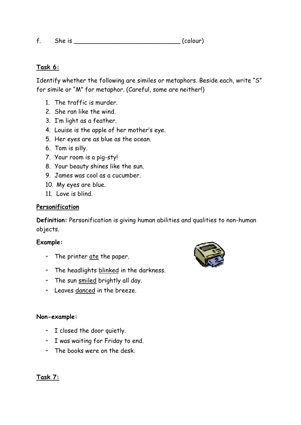f. She is \_\_\_\_\_\_\_\_\_\_\_\_\_\_\_\_\_\_\_\_\_\_\_\_\_\_\_\_ (colour)

### **Task 6:**

Identify whether the following are similes or metaphors. Beside each, write "S" for simile or "M" for metaphor. (Careful, some are neither!)

- 1. The traffic is murder.
- 2. She ran like the wind.
- 3. I'm light as a feather.
- 4. Louise is the apple of her mother's eye.
- 5. Her eyes are as blue as the ocean.
- 6. Tom is silly.
- 7. Your room is a pig-sty!
- 8. Your beauty shines like the sun.
- 9. James was cool as a cucumber.
- 10. My eyes are blue.
- 11. Love is blind.

#### **Personification**

**Definition:** Personification is giving human abilities and qualities to non-human objects.

#### **Example:**

- The printer ate the paper.
- The headlights blinked in the darkness.
- The sun smiled brightly all day.
- Leaves danced in the breeze.

#### **Non-example:**

- I closed the door quietly.
- I was waiting for Friday to end.
- The books were on the desk.



**Task 7:**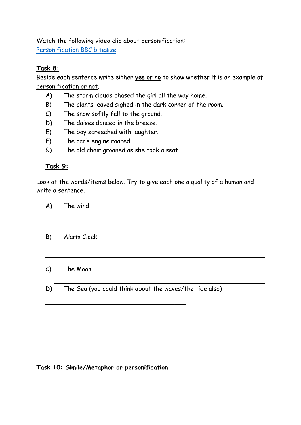Watch the following video clip about personification: [Personification BBC bitesize.](https://www.bbc.co.uk/bitesize/topics/z4jf6g8/articles/zfn2mfr)

# **Task 8:**

Beside each sentence write either **yes** or **no** to show whether it is an example of personification or not.

- A) The storm clouds chased the girl all the way home.
- B) The plants leaved sighed in the dark corner of the room.
- C) The snow softly fell to the ground.
- D) The daises danced in the breeze.
- E) The boy screeched with laughter.
- F) The car's engine roared.
- G) The old chair groaned as she took a seat.

\_\_\_\_\_\_\_\_\_\_\_\_\_\_\_\_\_\_\_\_\_\_\_\_\_\_\_\_\_\_\_\_\_\_\_\_\_\_

## **Task 9:**

Look at the words/items below. Try to give each one a quality of a human and write a sentence.

A) The wind

- B) Alarm Clock
- C) The Moon
- D) The Sea (you could think about the waves/the tide also)

\_\_\_\_\_\_\_\_\_\_\_\_\_\_\_\_\_\_\_\_\_\_\_\_\_\_\_\_\_\_\_\_\_\_\_\_\_

## **Task 10: Simile/Metaphor or personification**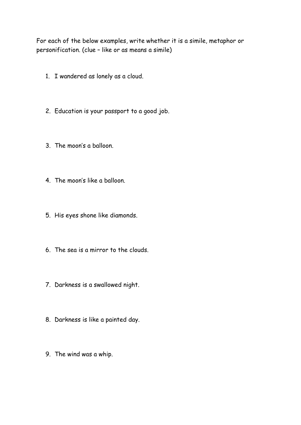For each of the below examples, write whether it is a simile, metaphor or personification. (clue – like or as means a simile)

- 1. I wandered as lonely as a cloud.
- 2. Education is your passport to a good job.
- 3. The moon's a balloon.
- 4. The moon's like a balloon.
- 5. His eyes shone like diamonds.
- 6. The sea is a mirror to the clouds.
- 7. Darkness is a swallowed night.
- 8. Darkness is like a painted day.
- 9. The wind was a whip.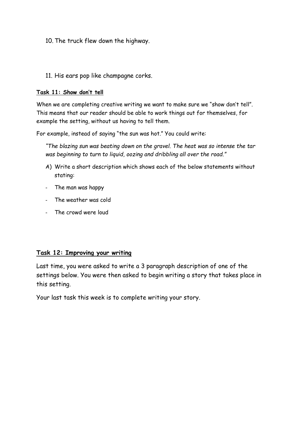- 10. The truck flew down the highway.
- 11. His ears pop like champagne corks.

#### **Task 11: Show don't tell**

When we are completing creative writing we want to make sure we "show don't tell". This means that our reader should be able to work things out for themselves, for example the setting, without us having to tell them.

For example, instead of saying "the sun was hot." You could write:

*"The blazing sun was beating down on the gravel. The heat was so intense the tar was beginning to turn to liquid, oozing and dribbling all over the road."*

- A) Write a short description which shows each of the below statements without stating:
- The man was happy
- The weather was cold
- The crowd were loud

#### **Task 12: Improving your writing**

Last time, you were asked to write a 3 paragraph description of one of the settings below. You were then asked to begin writing a story that takes place in this setting.

Your last task this week is to complete writing your story.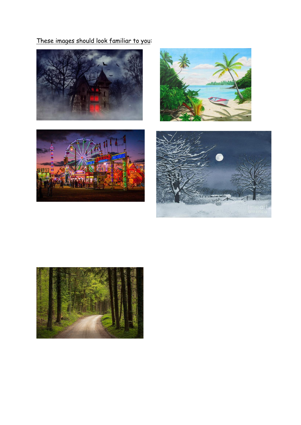These images should look familiar to you: